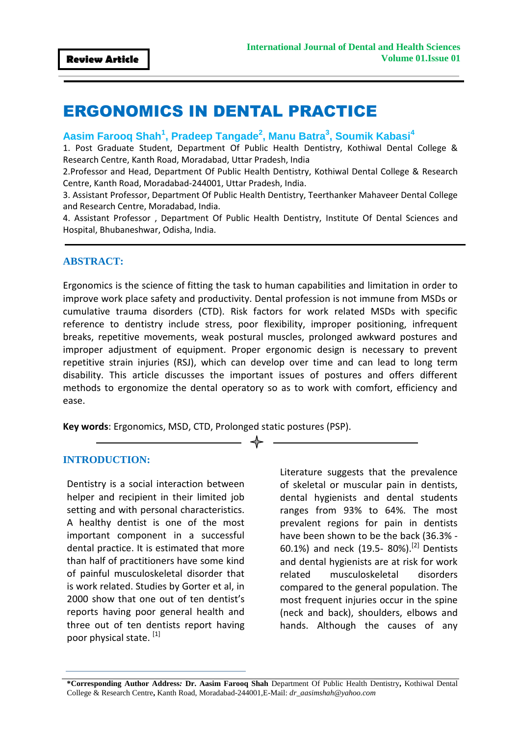# ERGONOMICS IN DENTAL PRACTICE

# **Aasim Farooq Shah<sup>1</sup> , Pradeep Tangade<sup>2</sup> , Manu Batra<sup>3</sup> , Soumik Kabasi<sup>4</sup>**

1. Post Graduate Student, Department Of Public Health Dentistry, Kothiwal Dental College & Research Centre, Kanth Road, Moradabad, Uttar Pradesh, India

2.Professor and Head, Department Of Public Health Dentistry, Kothiwal Dental College & Research Centre, Kanth Road, Moradabad-244001, Uttar Pradesh, India.

3. Assistant Professor, Department Of Public Health Dentistry, Teerthanker Mahaveer Dental College and Research Centre, Moradabad, India.

4. Assistant Professor , Department Of Public Health Dentistry, Institute Of Dental Sciences and Hospital, Bhubaneshwar, Odisha, India.

#### **ABSTRACT:**

Ergonomics is the science of fitting the task to human capabilities and limitation in order to improve work place safety and productivity. Dental profession is not immune from MSDs or cumulative trauma disorders (CTD). Risk factors for work related MSDs with specific reference to dentistry include stress, poor flexibility, improper positioning, infrequent breaks, repetitive movements, weak postural muscles, prolonged awkward postures and improper adjustment of equipment. Proper ergonomic design is necessary to prevent repetitive strain injuries (RSJ), which can develop over time and can lead to long term disability. This article discusses the important issues of postures and offers different methods to ergonomize the dental operatory so as to work with comfort, efficiency and ease.

**Key words**: Ergonomics, MSD, CTD, Prolonged static postures (PSP).

#### **INTRODUCTION:**

Dentistry is a social interaction between helper and recipient in their limited job setting and with personal characteristics. A healthy dentist is one of the most important component in a successful dental practice. It is estimated that more than half of practitioners have some kind of painful musculoskeletal disorder that is work related. Studies by Gorter et al, in 2000 show that one out of ten dentist's reports having poor general health and three out of ten dentists report having poor physical state. [1]

Literature suggests that the prevalence of skeletal or muscular pain in dentists, dental hygienists and dental students ranges from 93% to 64%. The most prevalent regions for pain in dentists have been shown to be the back (36.3% - 60.1%) and neck (19.5- 80%).<sup>[2]</sup> Dentists and dental hygienists are at risk for work related musculoskeletal disorders compared to the general population. The most frequent injuries occur in the spine (neck and back), shoulders, elbows and hands. Although the causes of any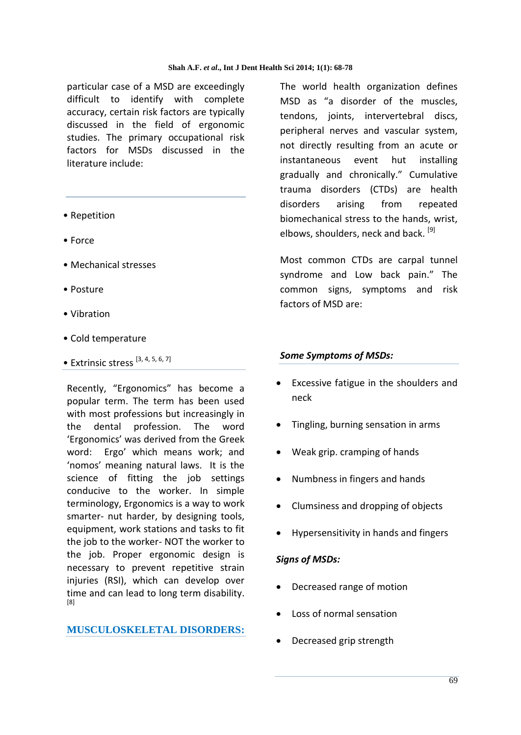particular case of a MSD are exceedingly difficult to identify with complete accuracy, certain risk factors are typically discussed in the field of ergonomic studies. The primary occupational risk factors for MSDs discussed in the literature include:

- Repetition
- Force
- Mechanical stresses
- Posture
- Vibration
- Cold temperature
- Extrinsic stress [3, 4, 5, 6, 7]

Recently, "Ergonomics" has become a popular term. The term has been used with most professions but increasingly in the dental profession. The word 'Ergonomics' was derived from the Greek word: Ergo' which means work; and 'nomos' meaning natural laws. It is the science of fitting the job settings conducive to the worker. In simple terminology, Ergonomics is a way to work smarter- nut harder, by designing tools, equipment, work stations and tasks to fit the job to the worker- NOT the worker to the job. Proper ergonomic design is necessary to prevent repetitive strain injuries (RSI), which can develop over time and can lead to long term disability. [8]

## **MUSCULOSKELETAL DISORDERS:**

The world health organization defines MSD as "a disorder of the muscles, tendons, joints, intervertebral discs, peripheral nerves and vascular system, not directly resulting from an acute or instantaneous event hut installing gradually and chronically." Cumulative trauma disorders (CTDs) are health disorders arising from repeated biomechanical stress to the hands, wrist, elbows, shoulders, neck and back.<sup>[9]</sup>

Most common CTDs are carpal tunnel syndrome and Low back pain." The common signs, symptoms and risk factors of MSD are:

## *Some Symptoms of MSDs:*

- Excessive fatigue in the shoulders and neck
- Tingling, burning sensation in arms
- Weak grip. cramping of hands
- Numbness in fingers and hands
- Clumsiness and dropping of objects
- Hypersensitivity in hands and fingers

#### *Signs of MSDs:*

- Decreased range of motion
- Loss of normal sensation
- Decreased grip strength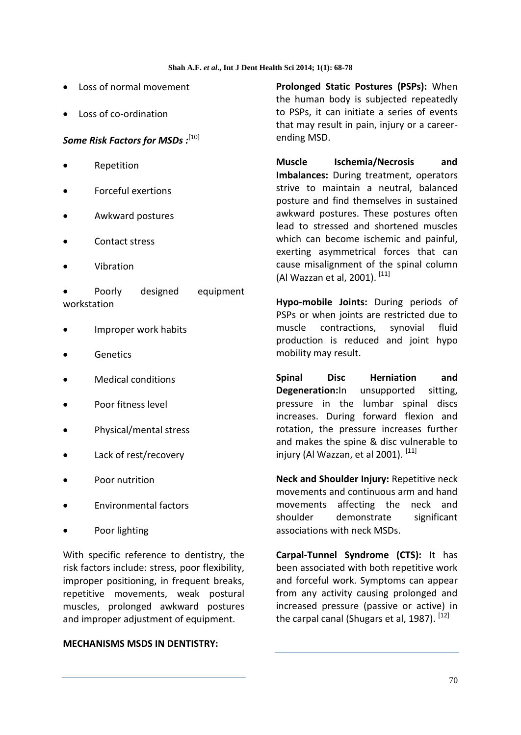- Loss of normal movement
- Loss of co-ordination

## *Some Risk Factors for MSDs :*[10]

- **•** Repetition
- Forceful exertions
- Awkward postures
- Contact stress
- Vibration
- Poorly designed equipment workstation
- Improper work habits
- **Genetics**
- Medical conditions
- Poor fitness level
- Physical/mental stress
- Lack of rest/recovery
- Poor nutrition
- Environmental factors
- Poor lighting

With specific reference to dentistry, the risk factors include: stress, poor flexibility, improper positioning, in frequent breaks, repetitive movements, weak postural muscles, prolonged awkward postures and improper adjustment of equipment.

#### **MECHANISMS MSDS IN DENTISTRY:**

**Prolonged Static Postures (PSPs):** When the human body is subjected repeatedly to PSPs, it can initiate a series of events that may result in pain, injury or a careerending MSD.

**Muscle Ischemia/Necrosis and Imbalances:** During treatment, operators strive to maintain a neutral, balanced posture and find themselves in sustained awkward postures. These postures often lead to stressed and shortened muscles which can become ischemic and painful, exerting asymmetrical forces that can cause misalignment of the spinal column (Al Wazzan et al, 2001).<sup>[11]</sup>

**Hypo-mobile Joints:** During periods of PSPs or when joints are restricted due to muscle contractions, synovial fluid production is reduced and joint hypo mobility may result.

**Spinal Disc Herniation and Degeneration:**In unsupported sitting, pressure in the lumbar spinal discs increases. During forward flexion and rotation, the pressure increases further and makes the spine & disc vulnerable to injury (Al Wazzan, et al 2001).  $[11]$ 

**Neck and Shoulder Injury:** Repetitive neck movements and continuous arm and hand movements affecting the neck and shoulder demonstrate significant associations with neck MSDs.

**Carpal-Tunnel Syndrome (CTS):** It has been associated with both repetitive work and forceful work. Symptoms can appear from any activity causing prolonged and increased pressure (passive or active) in the carpal canal (Shugars et al, 1987).  $[12]$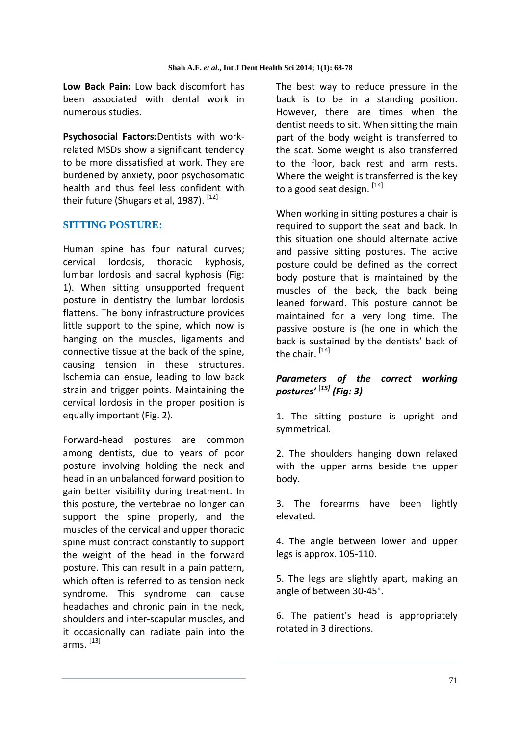**Low Back Pain:** Low back discomfort has been associated with dental work in numerous studies.

**Psychosocial Factors:**Dentists with workrelated MSDs show a significant tendency to be more dissatisfied at work. They are burdened by anxiety, poor psychosomatic health and thus feel less confident with their future (Shugars et al, 1987). [12]

## **SITTING POSTURE:**

Human spine has four natural curves; cervical lordosis, thoracic kyphosis, lumbar lordosis and sacral kyphosis (Fig: 1). When sitting unsupported frequent posture in dentistry the lumbar lordosis flattens. The bony infrastructure provides little support to the spine, which now is hanging on the muscles, ligaments and connective tissue at the back of the spine, causing tension in these structures. lschemia can ensue, leading to low back strain and trigger points. Maintaining the cervical lordosis in the proper position is equally important (Fig. 2).

Forward-head postures are common among dentists, due to years of poor posture involving holding the neck and head in an unbalanced forward position to gain better visibility during treatment. In this posture, the vertebrae no longer can support the spine properly, and the muscles of the cervical and upper thoracic spine must contract constantly to support the weight of the head in the forward posture. This can result in a pain pattern, which often is referred to as tension neck syndrome. This syndrome can cause headaches and chronic pain in the neck, shoulders and inter-scapular muscles, and it occasionally can radiate pain into the arms. <sup>[13]</sup>

The best way to reduce pressure in the back is to be in a standing position. However, there are times when the dentist needs to sit. When sitting the main part of the body weight is transferred to the scat. Some weight is also transferred to the floor, back rest and arm rests. Where the weight is transferred is the key to a good seat design. [14]

When working in sitting postures a chair is required to support the seat and back. In this situation one should alternate active and passive sitting postures. The active posture could be defined as the correct body posture that is maintained by the muscles of the back, the back being leaned forward. This posture cannot be maintained for a very long time. The passive posture is (he one in which the back is sustained by the dentists' back of the chair. [14]

## *Parameters of the correct working postures'* [*15] (Fig: 3)*

1. The sitting posture is upright and symmetrical.

2. The shoulders hanging down relaxed with the upper arms beside the upper body.

3. The forearms have been lightly elevated.

4. The angle between lower and upper legs is approx. 105-110.

5. The legs are slightly apart, making an angle of between 30-45°.

6. The patient's head is appropriately rotated in 3 directions.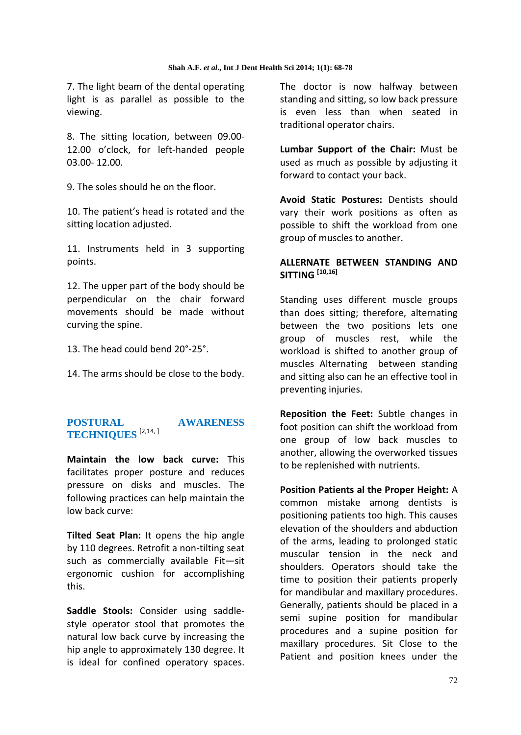7. The light beam of the dental operating light is as parallel as possible to the viewing.

8. The sitting location, between 09.00- 12.00 o'clock, for left-handed people 03.00- 12.00.

9. The soles should he on the floor.

10. The patient's head is rotated and the sitting location adjusted.

11. Instruments held in 3 supporting points.

12. The upper part of the body should be perpendicular on the chair forward movements should be made without curving the spine.

13. The head could bend 20°-25°.

14. The arms should be close to the body.

# **POSTURAL AWARENESS TECHNIQUES** [2,14, ]

**Maintain the low back curve:** This facilitates proper posture and reduces pressure on disks and muscles. The following practices can help maintain the low back curve:

**Tilted Seat Plan:** It opens the hip angle by 110 degrees. Retrofit a non-tilting seat such as commercially available Fit—sit ergonomic cushion for accomplishing this.

**Saddle Stools:** Consider using saddlestyle operator stool that promotes the natural low back curve by increasing the hip angle to approximately 130 degree. It is ideal for confined operatory spaces. The doctor is now halfway between standing and sitting, so low back pressure is even less than when seated in traditional operator chairs.

**Lumbar Support of the Chair:** Must be used as much as possible by adjusting it forward to contact your back.

**Avoid Static Postures:** Dentists should vary their work positions as often as possible to shift the workload from one group of muscles to another.

## **ALLERNATE BETWEEN STANDING AND SITTING [10,16]**

Standing uses different muscle groups than does sitting; therefore, alternating between the two positions lets one group of muscles rest, while the workload is shifted to another group of muscles Alternating between standing and sitting also can he an effective tool in preventing injuries.

**Reposition the Feet:** Subtle changes in foot position can shift the workload from one group of low back muscles to another, allowing the overworked tissues to be replenished with nutrients.

**Position Patients al the Proper Height:** A common mistake among dentists is positioning patients too high. This causes elevation of the shoulders and abduction of the arms, leading to prolonged static muscular tension in the neck and shoulders. Operators should take the time to position their patients properly for mandibular and maxillary procedures. Generally, patients should be placed in a semi supine position for mandibular procedures and a supine position for maxillary procedures. Sit Close to the Patient and position knees under the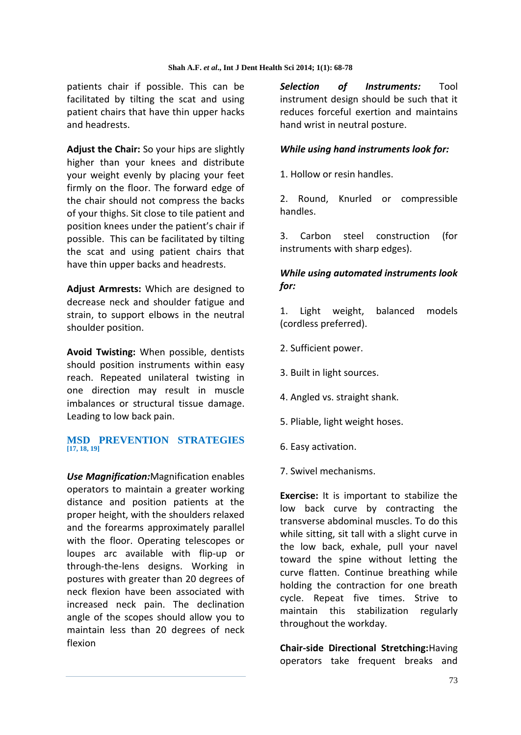patients chair if possible. This can be facilitated by tilting the scat and using patient chairs that have thin upper hacks and headrests.

**Adjust the Chair:** So your hips are slightly higher than your knees and distribute your weight evenly by placing your feet firmly on the floor. The forward edge of the chair should not compress the backs of your thighs. Sit close to tile patient and position knees under the patient's chair if possible. This can be facilitated by tilting the scat and using patient chairs that have thin upper backs and headrests.

**Adjust Armrests:** Which are designed to decrease neck and shoulder fatigue and strain, to support elbows in the neutral shoulder position.

**Avoid Twisting:** When possible, dentists should position instruments within easy reach. Repeated unilateral twisting in one direction may result in muscle imbalances or structural tissue damage. Leading to low back pain.

#### **MSD PREVENTION STRATEGIES [17, 18, 19]**

*Use Magnification:*Magnification enables operators to maintain a greater working distance and position patients at the proper height, with the shoulders relaxed and the forearms approximately parallel with the floor. Operating telescopes or loupes arc available with flip-up or through-the-lens designs. Working in postures with greater than 20 degrees of neck flexion have been associated with increased neck pain. The declination angle of the scopes should allow you to maintain less than 20 degrees of neck flexion

*Selection of Instruments:* Tool instrument design should be such that it reduces forceful exertion and maintains hand wrist in neutral posture.

## *While using hand instruments look for:*

1. Hollow or resin handles.

2. Round, Knurled or compressible handles.

3. Carbon steel construction (for instruments with sharp edges).

## *While using automated instruments look for:*

1. Light weight, balanced models (cordless preferred).

- 2. Sufficient power.
- 3. Built in light sources.
- 4. Angled vs. straight shank.
- 5. Pliable, light weight hoses.
- 6. Easy activation.
- 7. Swivel mechanisms.

**Exercise:** It is important to stabilize the low back curve by contracting the transverse abdominal muscles. To do this while sitting, sit tall with a slight curve in the low back, exhale, pull your navel toward the spine without letting the curve flatten. Continue breathing while holding the contraction for one breath cycle. Repeat five times. Strive to maintain this stabilization regularly throughout the workday.

**Chair-side Directional Stretching:**Having operators take frequent breaks and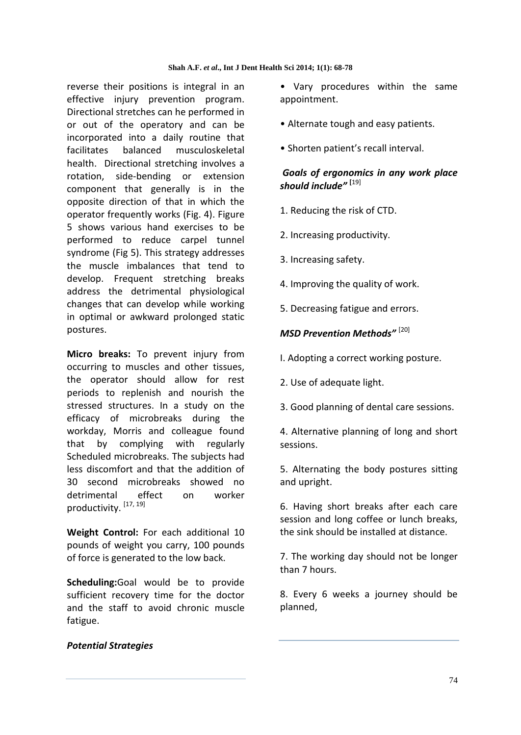reverse their positions is integral in an effective injury prevention program. Directional stretches can he performed in or out of the operatory and can be incorporated into a daily routine that facilitates balanced musculoskeletal health. Directional stretching involves a rotation, side-bending or extension component that generally is in the opposite direction of that in which the operator frequently works (Fig. 4). Figure 5 shows various hand exercises to be performed to reduce carpel tunnel syndrome (Fig 5). This strategy addresses the muscle imbalances that tend to develop. Frequent stretching breaks address the detrimental physiological changes that can develop while working in optimal or awkward prolonged static postures.

**Micro breaks:** To prevent injury from occurring to muscles and other tissues, the operator should allow for rest periods to replenish and nourish the stressed structures. In a study on the efficacy of microbreaks during the workday, Morris and colleague found that by complying with regularly Scheduled microbreaks. The subjects had less discomfort and that the addition of 30 second microbreaks showed no detrimental effect on worker productivity.<sup>[17, 19]</sup>

**Weight Control:** For each additional 10 pounds of weight you carry, 100 pounds of force is generated to the low back.

**Scheduling:**Goal would be to provide sufficient recovery time for the doctor and the staff to avoid chronic muscle fatigue.

• Vary procedures within the same appointment.

- Alternate tough and easy patients.
- Shorten patient's recall interval.

# *Goals of ergonomics in any work place should include"* **[**19]

- 1. Reducing the risk of CTD.
- 2. Increasing productivity.
- 3. Increasing safety.
- 4. Improving the quality of work.
- 5. Decreasing fatigue and errors.

#### *MSD Prevention Methods"* [20]

- I. Adopting a correct working posture.
- 2. Use of adequate light.
- 3. Good planning of dental care sessions.

4. Alternative planning of long and short sessions.

5. Alternating the body postures sitting and upright.

6. Having short breaks after each care session and long coffee or lunch breaks, the sink should be installed at distance.

7. The working day should not be longer than 7 hours.

8. Every 6 weeks a journey should be planned,

#### *Potential Strategies*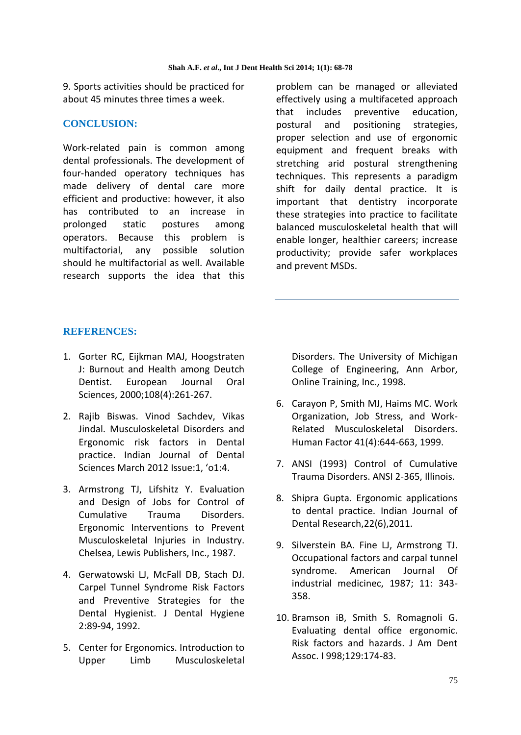9. Sports activities should be practiced for about 45 minutes three times a week.

## **CONCLUSION:**

Work-related pain is common among dental professionals. The development of four-handed operatory techniques has made delivery of dental care more efficient and productive: however, it also has contributed to an increase in prolonged static postures among operators. Because this problem is multifactorial, any possible solution should he multifactorial as well. Available research supports the idea that this

problem can be managed or alleviated effectively using a multifaceted approach that includes preventive education, postural and positioning strategies, proper selection and use of ergonomic equipment and frequent breaks with stretching arid postural strengthening techniques. This represents a paradigm shift for daily dental practice. It is important that dentistry incorporate these strategies into practice to facilitate balanced musculoskeletal health that will enable longer, healthier careers; increase productivity; provide safer workplaces and prevent MSDs.

## **REFERENCES:**

- 1. Gorter RC, Eijkman MAJ, Hoogstraten J: Burnout and Health among Deutch Dentist. European Journal Oral Sciences, 2000;108(4):261-267.
- 2. Rajib Biswas. Vinod Sachdev, Vikas Jindal. Musculoskeletal Disorders and Ergonomic risk factors in Dental practice. Indian Journal of Dental Sciences March 2012 Issue:1, 'o1:4.
- 3. Armstrong TJ, Lifshitz Y. Evaluation and Design of Jobs for Control of Cumulative Trauma Disorders. Ergonomic Interventions to Prevent Musculoskeletal Injuries in Industry. Chelsea, Lewis Publishers, Inc., 1987.
- 4. Gerwatowski LJ, McFall DB, Stach DJ. Carpel Tunnel Syndrome Risk Factors and Preventive Strategies for the Dental Hygienist. J Dental Hygiene 2:89-94, 1992.
- 5. Center for Ergonomics. Introduction to Upper Limb Musculoskeletal

Disorders. The University of Michigan College of Engineering, Ann Arbor, Online Training, Inc., 1998.

- 6. Carayon P, Smith MJ, Haims MC. Work Organization, Job Stress, and Work-Related Musculoskeletal Disorders. Human Factor 41(4):644-663, 1999.
- 7. ANSI (1993) Control of Cumulative Trauma Disorders. ANSI 2-365, Illinois.
- 8. Shipra Gupta. Ergonomic applications to dental practice. Indian Journal of Dental Research,22(6),2011.
- 9. Silverstein BA. Fine LJ, Armstrong TJ. Occupational factors and carpal tunnel syndrome. American Journal Of industrial medicinec, 1987; 11: 343- 358.
- 10. Bramson iB, Smith S. Romagnoli G. Evaluating dental office ergonomic. Risk factors and hazards. J Am Dent Assoc. I 998;129:174-83.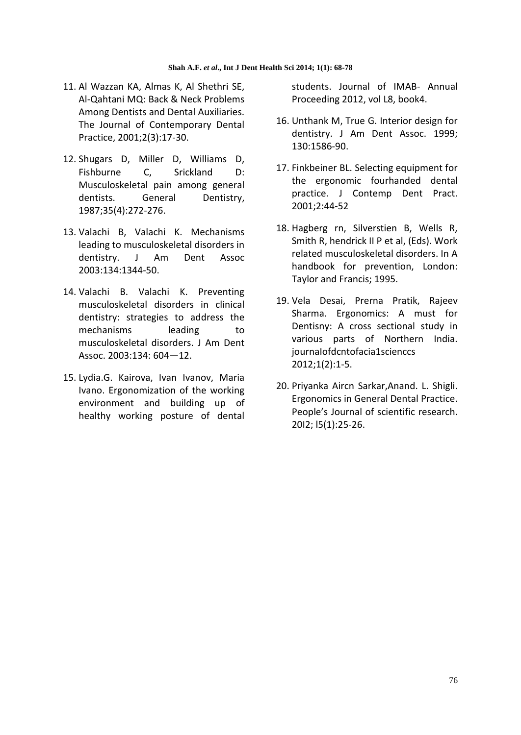- 11. Al Wazzan KA, Almas K, Al Shethri SE, Al-Qahtani MQ: Back & Neck Problems Among Dentists and Dental Auxiliaries. The Journal of Contemporary Dental Practice, 2001;2(3):17-30.
- 12. Shugars D, Miller D, Williams D, Fishburne C, Srickland D: Musculoskeletal pain among general dentists. General Dentistry, 1987;35(4):272-276.
- 13. Valachi B, Valachi K. Mechanisms leading to musculoskeletal disorders in dentistry. J Am Dent Assoc 2003:134:1344-50.
- 14. Valachi B. Valachi K. Preventing musculoskeletal disorders in clinical dentistry: strategies to address the mechanisms leading to musculoskeletal disorders. J Am Dent Assoc. 2003:134: 604—12.
- 15. Lydia.G. Kairova, Ivan Ivanov, Maria Ivano. Ergonomization of the working environment and building up of healthy working posture of dental

students. Journal of IMAB- Annual Proceeding 2012, vol L8, book4.

- 16. Unthank M, True G. Interior design for dentistry. J Am Dent Assoc. 1999; 130:1586-90.
- 17. Finkbeiner BL. Selecting equipment for the ergonomic fourhanded dental practice. J Contemp Dent Pract. 2001;2:44-52
- 18. Hagberg rn, Silverstien B, Wells R, Smith R, hendrick II P et al, (Eds). Work related musculoskeletal disorders. In A handbook for prevention, London: Taylor and Francis; 1995.
- 19. Vela Desai, Prerna Pratik, Rajeev Sharma. Ergonomics: A must for Dentisny: A cross sectional study in various parts of Northern India. journaIofdcntofacia1scienccs 2012;1(2):1-5.
- 20. Priyanka Aircn Sarkar,Anand. L. Shigli. Ergonomics in General Dental Practice. People's Journal of scientific research. 20I2; l5(1):25-26.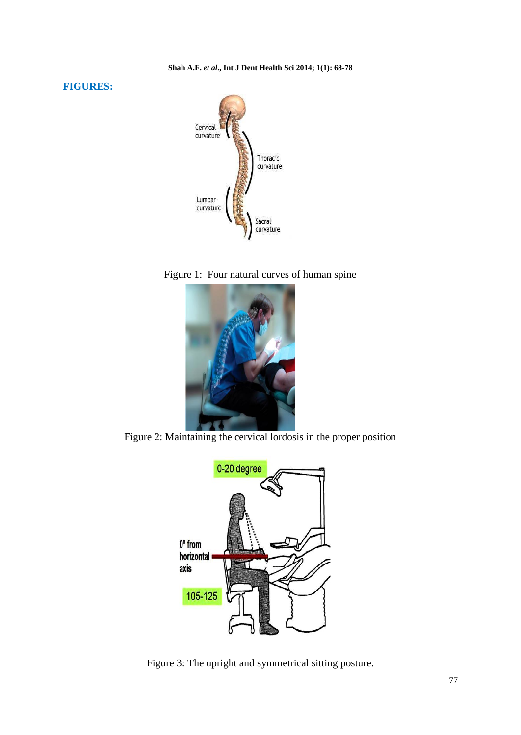#### **FIGURES:**



Figure 1: Four natural curves of human spine



Figure 2: Maintaining the cervical lordosis in the proper position



Figure 3: The upright and symmetrical sitting posture.